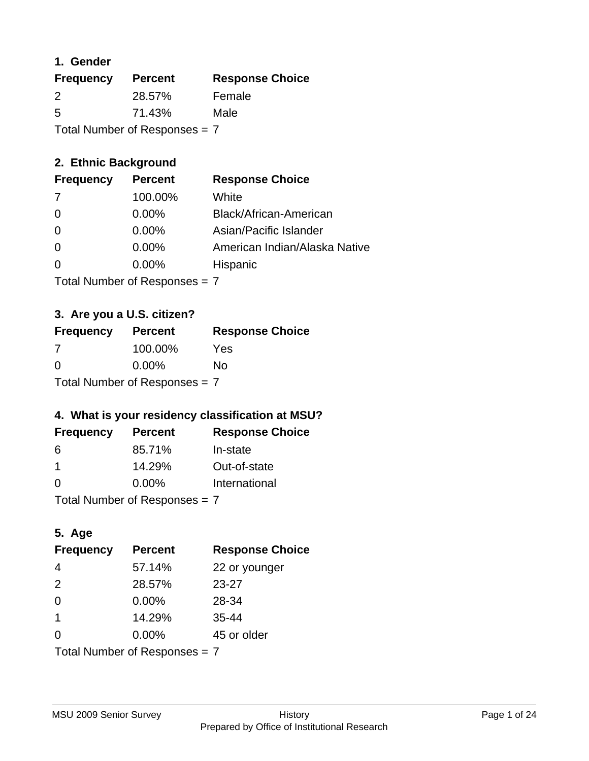### **1. Gender**

| <b>Frequency</b>                | <b>Percent</b> | <b>Response Choice</b> |
|---------------------------------|----------------|------------------------|
| 2                               | 28.57%         | Female                 |
| 5                               | 71.43%         | Male                   |
| Total Number of Responses = $7$ |                |                        |

## **2. Ethnic Background**

| <b>Frequency</b> | <b>Percent</b> | <b>Response Choice</b>        |
|------------------|----------------|-------------------------------|
| -7               | 100.00%        | White                         |
| $\Omega$         | $0.00\%$       | Black/African-American        |
| $\Omega$         | $0.00\%$       | Asian/Pacific Islander        |
| $\Omega$         | 0.00%          | American Indian/Alaska Native |
|                  | $0.00\%$       | Hispanic                      |
|                  |                |                               |

Total Number of Responses = 7

## **3. Are you a U.S. citizen?**

| <b>Frequency</b>                | <b>Percent</b> | <b>Response Choice</b> |
|---------------------------------|----------------|------------------------|
| -7                              | 100.00%        | Yes                    |
| $\Omega$                        | $0.00\%$       | Nο                     |
| Total Number of Responses $= 7$ |                |                        |

## **4. What is your residency classification at MSU?**

| <b>Frequency</b> | <b>Percent</b> | <b>Response Choice</b> |
|------------------|----------------|------------------------|
| 6                | 85.71%         | In-state               |
|                  | 14.29%         | Out-of-state           |
| $\Omega$         | $0.00\%$       | International          |
|                  |                |                        |

Total Number of Responses = 7

## **5. Age**

| <b>Frequency</b>                | <b>Percent</b> | <b>Response Choice</b> |
|---------------------------------|----------------|------------------------|
| 4                               | 57.14%         | 22 or younger          |
| 2                               | 28.57%         | $23 - 27$              |
| $\overline{0}$                  | 0.00%          | 28-34                  |
| $\mathbf{1}$                    | 14.29%         | $35 - 44$              |
| 0                               | $0.00\%$       | 45 or older            |
| Total Number of Responses $= 7$ |                |                        |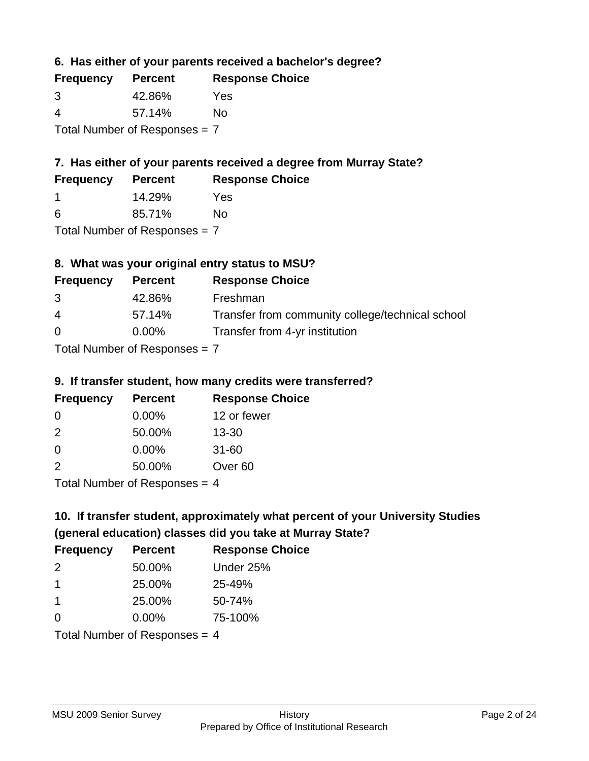**6. Has either of your parents received a bachelor's degree?**

| <b>Frequency</b>                | <b>Percent</b> | <b>Response Choice</b> |
|---------------------------------|----------------|------------------------|
| 3                               | 42.86%         | Yes                    |
| 4                               | 57.14%         | Nο                     |
| Total Number of Responses $= 7$ |                |                        |

## **7. Has either of your parents received a degree from Murray State?**

| <b>Frequency</b> | <b>Percent</b> | <b>Response Choice</b> |
|------------------|----------------|------------------------|
|                  | 14.29%         | Yes                    |
| -6               | 85.71%         | No                     |

Total Number of Responses = 7

## **8. What was your original entry status to MSU?**

| <b>Frequency</b> | <b>Percent</b>             | <b>Response Choice</b>                           |
|------------------|----------------------------|--------------------------------------------------|
| 3                | 42.86%                     | Freshman                                         |
| $\overline{4}$   | 57.14%                     | Transfer from community college/technical school |
| $\Omega$         | $0.00\%$                   | Transfer from 4-yr institution                   |
|                  | Tetal Number of Desperance |                                                  |

Total Number of Responses = 7

### **9. If transfer student, how many credits were transferred?**

| <b>Frequency</b>      | <b>Percent</b> | <b>Response Choice</b> |
|-----------------------|----------------|------------------------|
| -0                    | $0.00\%$       | 12 or fewer            |
| $\mathcal{P}$         | 50.00%         | $13 - 30$              |
| 0                     | 0.00%          | $31 - 60$              |
| $\mathcal{P}$         | 50.00%         | Over <sub>60</sub>     |
| Total Number of Doepo |                |                        |

Total Number of Responses = 4

# **10. If transfer student, approximately what percent of your University Studies (general education) classes did you take at Murray State?**

| <b>Frequency</b>                | <b>Percent</b> | <b>Response Choice</b> |
|---------------------------------|----------------|------------------------|
| 2                               | 50.00%         | Under 25%              |
| -1                              | 25.00%         | 25-49%                 |
| -1                              | 25.00%         | 50-74%                 |
| $\Omega$                        | 0.00%          | 75-100%                |
| Total Number of Responses $-$ 1 |                |                        |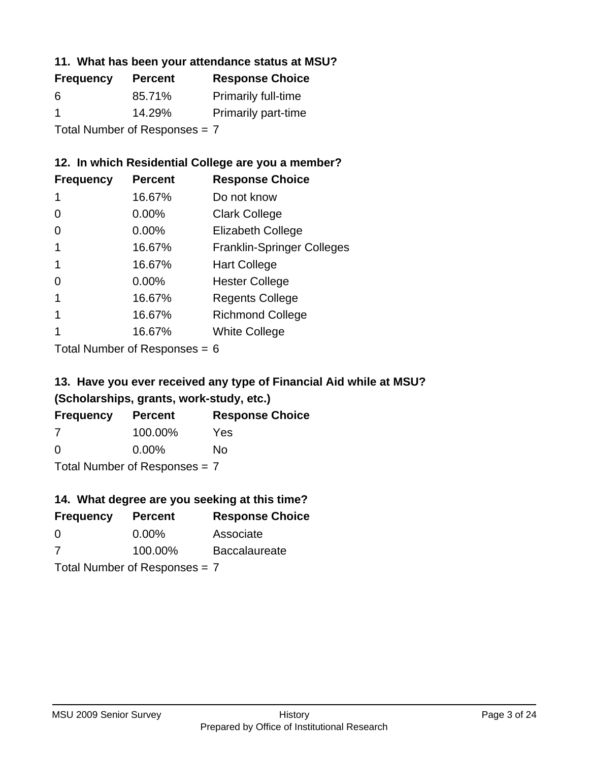### **11. What has been your attendance status at MSU?**

| <b>Frequency</b> | <b>Percent</b>                | <b>Response Choice</b>     |
|------------------|-------------------------------|----------------------------|
| 6                | 85.71%                        | <b>Primarily full-time</b> |
| -1               | 14.29%                        | <b>Primarily part-time</b> |
|                  | Total Number of Responses = 7 |                            |

## **12. In which Residential College are you a member?**

| <b>Frequency</b> | <b>Percent</b> | <b>Response Choice</b>            |
|------------------|----------------|-----------------------------------|
| 1                | 16.67%         | Do not know                       |
| 0                | 0.00%          | <b>Clark College</b>              |
| 0                | 0.00%          | <b>Elizabeth College</b>          |
|                  | 16.67%         | <b>Franklin-Springer Colleges</b> |
|                  | 16.67%         | <b>Hart College</b>               |
| 0                | $0.00\%$       | <b>Hester College</b>             |
|                  | 16.67%         | <b>Regents College</b>            |
|                  | 16.67%         | <b>Richmond College</b>           |
|                  | 16.67%         | <b>White College</b>              |
|                  |                |                                   |

Total Number of Responses = 6

## **13. Have you ever received any type of Financial Aid while at MSU? (Scholarships, grants, work-study, etc.)**

| <b>Frequency</b>              | <b>Percent</b> | <b>Response Choice</b> |
|-------------------------------|----------------|------------------------|
| 7                             | 100.00%        | Yes                    |
| 0                             | $0.00\%$       | Nο                     |
| Total Number of Responses = 7 |                |                        |

### **14. What degree are you seeking at this time?**

| <b>Frequency</b> | <b>Percent</b>                | <b>Response Choice</b> |
|------------------|-------------------------------|------------------------|
| 0                | $0.00\%$                      | Associate              |
| 7                | 100.00%                       | <b>Baccalaureate</b>   |
|                  | Total Number of Responses = 7 |                        |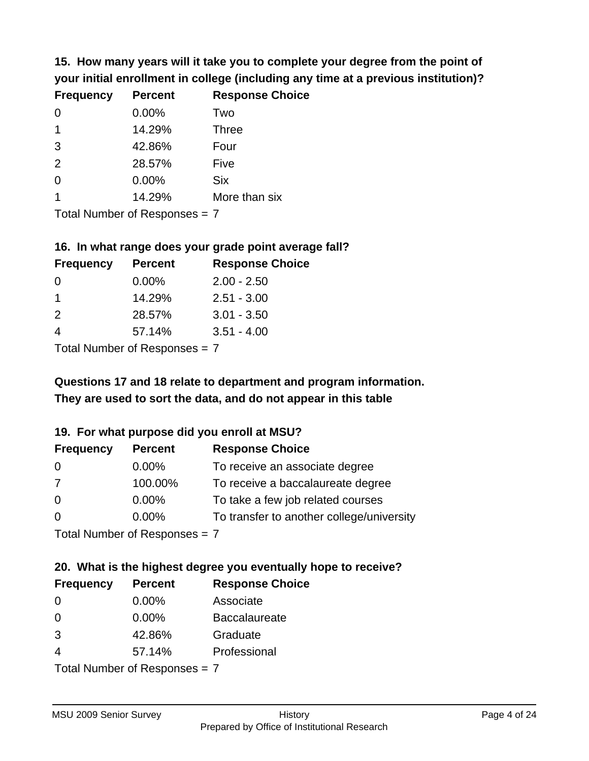**15. How many years will it take you to complete your degree from the point of your initial enrollment in college (including any time at a previous institution)?**

| <b>Frequency</b> | <b>Percent</b> | <b>Response Choice</b> |
|------------------|----------------|------------------------|
| $\Omega$         | 0.00%          | Two                    |
| 1                | 14.29%         | <b>Three</b>           |
| 3                | 42.86%         | Four                   |
| 2                | 28.57%         | Five                   |
| 0                | 0.00%          | <b>Six</b>             |
|                  | 14.29%         | More than six          |
|                  |                |                        |

Total Number of Responses = 7

#### **16. In what range does your grade point average fall?**

| <b>Frequency</b> | <b>Percent</b> | <b>Response Choice</b> |
|------------------|----------------|------------------------|
| 0                | $0.00\%$       | $2.00 - 2.50$          |
|                  | 14.29%         | $2.51 - 3.00$          |
| $\mathcal{P}$    | 28.57%         | $3.01 - 3.50$          |
|                  | 57.14%         | $3.51 - 4.00$          |
|                  |                |                        |

Total Number of Responses = 7

## **They are used to sort the data, and do not appear in this table Questions 17 and 18 relate to department and program information.**

#### **19. For what purpose did you enroll at MSU?**

| <b>Frequency</b>            | <b>Percent</b> | <b>Response Choice</b>                    |
|-----------------------------|----------------|-------------------------------------------|
| -0                          | $0.00\%$       | To receive an associate degree            |
| -7                          | 100.00%        | To receive a baccalaureate degree         |
| $\overline{0}$              | $0.00\%$       | To take a few job related courses         |
| $\overline{0}$              | 0.00%          | To transfer to another college/university |
| Total Number of Despesses 7 |                |                                           |

Total Number of Responses = 7

# **20. What is the highest degree you eventually hope to receive?**

| <b>Frequency</b> | <b>Percent</b>             | <b>Response Choice</b> |
|------------------|----------------------------|------------------------|
| 0                | $0.00\%$                   | Associate              |
| 0                | $0.00\%$                   | <b>Baccalaureate</b>   |
| 3                | 42.86%                     | Graduate               |
| 4                | 57.14%                     | Professional           |
|                  | Tatal Number of Desperance |                        |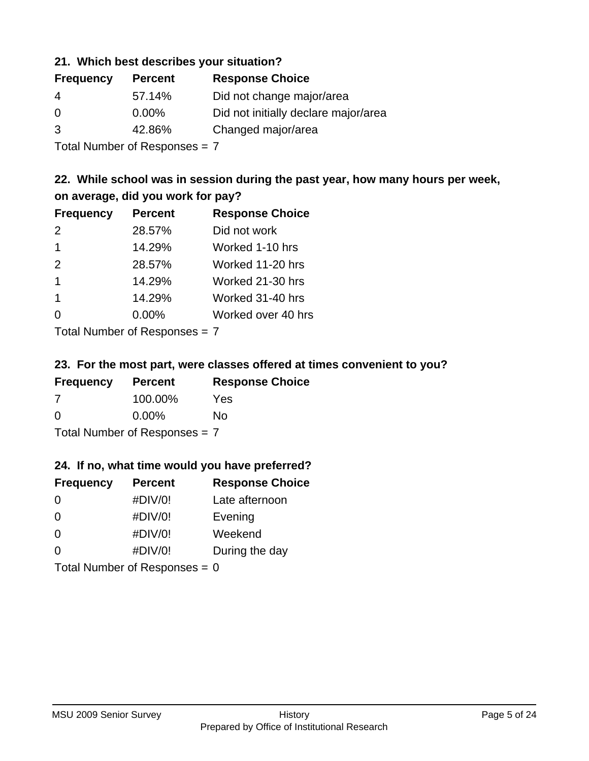### **21. Which best describes your situation?**

| <b>Frequency</b> | <b>Percent</b> | <b>Response Choice</b>               |
|------------------|----------------|--------------------------------------|
| -4               | 57.14%         | Did not change major/area            |
| $\Omega$         | $0.00\%$       | Did not initially declare major/area |
| 3                | 42.86%         | Changed major/area                   |
|                  |                |                                      |

Total Number of Responses = 7

### **22. While school was in session during the past year, how many hours per week, on average, did you work for pay?**

| <b>Frequency</b> | <b>Percent</b> | <b>Response Choice</b> |
|------------------|----------------|------------------------|
| $\mathcal{P}$    | 28.57%         | Did not work           |
| 1                | 14.29%         | Worked 1-10 hrs        |
| 2                | 28.57%         | Worked 11-20 hrs       |
| $\mathbf 1$      | 14.29%         | Worked 21-30 hrs       |
| $\mathbf 1$      | 14.29%         | Worked 31-40 hrs       |
| ∩                | 0.00%          | Worked over 40 hrs     |
|                  |                |                        |

Total Number of Responses = 7

#### **23. For the most part, were classes offered at times convenient to you?**

| <b>Frequency</b>                | <b>Percent</b> | <b>Response Choice</b> |
|---------------------------------|----------------|------------------------|
| 7                               | 100.00%        | Yes                    |
| $\Omega$                        | $0.00\%$       | Nο                     |
| Total Number of Responses = $7$ |                |                        |

#### **24. If no, what time would you have preferred?**

| <b>Frequency</b>                | <b>Percent</b> | <b>Response Choice</b> |
|---------------------------------|----------------|------------------------|
| $\Omega$                        | #DIV/0!        | Late afternoon         |
| 0                               | #DIV/0!        | Evening                |
| 0                               | #DIV/0!        | Weekend                |
| $\Omega$                        | #DIV/0!        | During the day         |
| Total Number of Responses = $0$ |                |                        |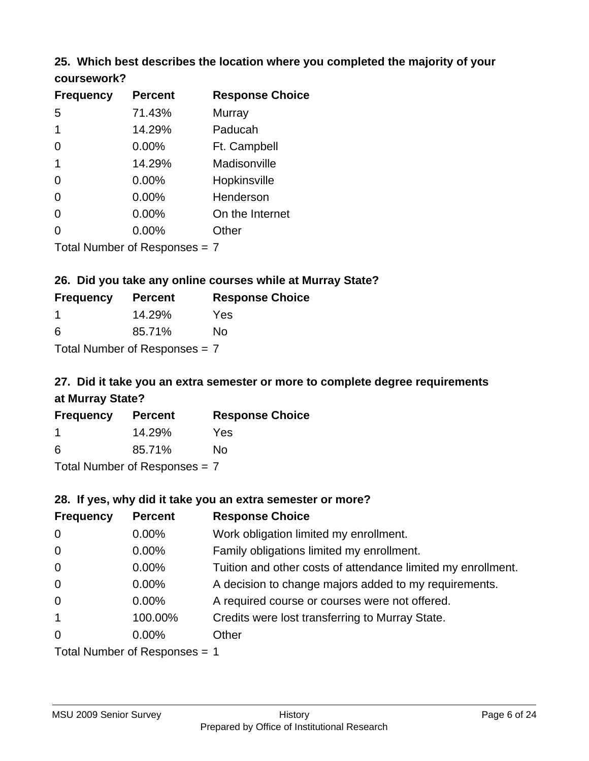### **25. Which best describes the location where you completed the majority of your coursework?**

| <b>Frequency</b> | <b>Percent</b>                  | <b>Response Choice</b> |
|------------------|---------------------------------|------------------------|
| 5                | 71.43%                          | Murray                 |
| 1                | 14.29%                          | Paducah                |
| 0                | 0.00%                           | Ft. Campbell           |
| 1                | 14.29%                          | Madisonville           |
| 0                | 0.00%                           | Hopkinsville           |
| 0                | 0.00%                           | Henderson              |
| 0                | 0.00%                           | On the Internet        |
| 0                | 0.00%                           | Other                  |
|                  | Total Number of Responses $= 7$ |                        |

**26. Did you take any online courses while at Murray State?**

| <b>Frequency</b>                | <b>Percent</b> | <b>Response Choice</b> |
|---------------------------------|----------------|------------------------|
| -1                              | 14.29%         | Yes                    |
| 6                               | 85.71%         | Nο                     |
| Total Number of Responses = $7$ |                |                        |

## **27. Did it take you an extra semester or more to complete degree requirements at Murray State?**

| <b>Frequency</b> | <b>Percent</b>             | <b>Response Choice</b> |
|------------------|----------------------------|------------------------|
|                  | 14.29%                     | Yes                    |
| 6                | 85.71%                     | Nο                     |
|                  | Tatal Manakan af Dagmanage |                        |

Total Number of Responses = 7

#### **28. If yes, why did it take you an extra semester or more?**

| <b>Frequency</b> | <b>Percent</b>                  | <b>Response Choice</b>                                       |
|------------------|---------------------------------|--------------------------------------------------------------|
| $\mathbf 0$      | $0.00\%$                        | Work obligation limited my enrollment.                       |
| $\mathbf 0$      | $0.00\%$                        | Family obligations limited my enrollment.                    |
| $\overline{0}$   | $0.00\%$                        | Tuition and other costs of attendance limited my enrollment. |
| $\mathbf 0$      | $0.00\%$                        | A decision to change majors added to my requirements.        |
| $\mathbf 0$      | $0.00\%$                        | A required course or courses were not offered.               |
| $\overline{1}$   | 100.00%                         | Credits were lost transferring to Murray State.              |
| $\mathbf 0$      | $0.00\%$                        | Other                                                        |
|                  | Total Number of Responses $= 1$ |                                                              |

MSU 2009 Senior Survey **History**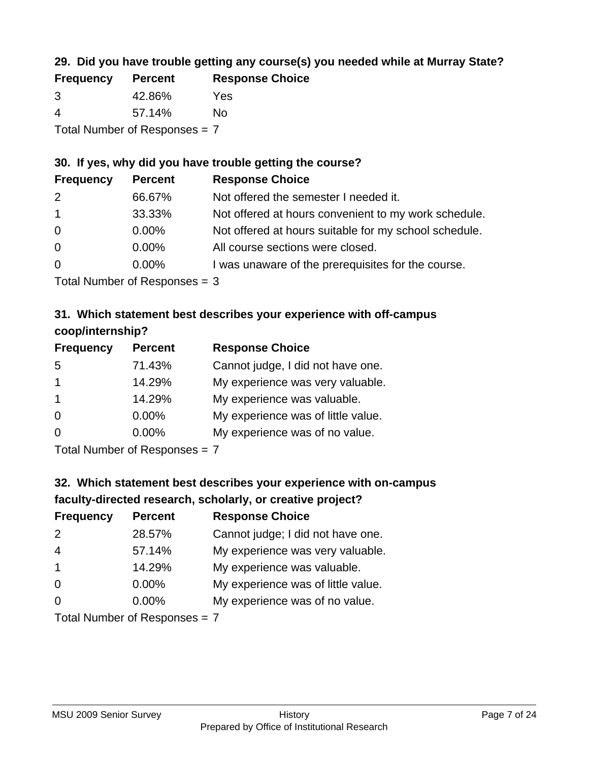## **29. Did you have trouble getting any course(s) you needed while at Murray State?**

| <b>Frequency</b>                | <b>Percent</b> | <b>Response Choice</b> |  |
|---------------------------------|----------------|------------------------|--|
| -3                              | 42.86%         | Yes                    |  |
| -4                              | 57.14%         | Nο                     |  |
| Total Number of Responses = $7$ |                |                        |  |

### **30. If yes, why did you have trouble getting the course?**

| <b>Frequency</b> | <b>Percent</b> | <b>Response Choice</b>                                |
|------------------|----------------|-------------------------------------------------------|
| 2                | 66.67%         | Not offered the semester I needed it.                 |
| $\overline{1}$   | 33.33%         | Not offered at hours convenient to my work schedule.  |
| $\overline{0}$   | $0.00\%$       | Not offered at hours suitable for my school schedule. |
| $\overline{0}$   | $0.00\%$       | All course sections were closed.                      |
| $\overline{0}$   | 0.00%          | I was unaware of the prerequisites for the course.    |
|                  |                |                                                       |

Total Number of Responses = 3

## **31. Which statement best describes your experience with off-campus coop/internship?**

| <b>Frequency</b> | <b>Percent</b> | <b>Response Choice</b>             |
|------------------|----------------|------------------------------------|
| 5                | 71.43%         | Cannot judge, I did not have one.  |
| $\mathbf 1$      | 14.29%         | My experience was very valuable.   |
| $\mathbf{1}$     | 14.29%         | My experience was valuable.        |
| $\Omega$         | 0.00%          | My experience was of little value. |
| $\Omega$         | 0.00%          | My experience was of no value.     |
|                  |                |                                    |

Total Number of Responses = 7

## **32. Which statement best describes your experience with on-campus faculty-directed research, scholarly, or creative project?**

| <b>Frequency</b> | <b>Percent</b>                | <b>Response Choice</b>             |
|------------------|-------------------------------|------------------------------------|
| 2                | 28.57%                        | Cannot judge; I did not have one.  |
| $\overline{4}$   | 57.14%                        | My experience was very valuable.   |
| $\overline{1}$   | 14.29%                        | My experience was valuable.        |
| $\Omega$         | $0.00\%$                      | My experience was of little value. |
| $\Omega$         | $0.00\%$                      | My experience was of no value.     |
|                  | $Total Number of Boanno0 = 7$ |                                    |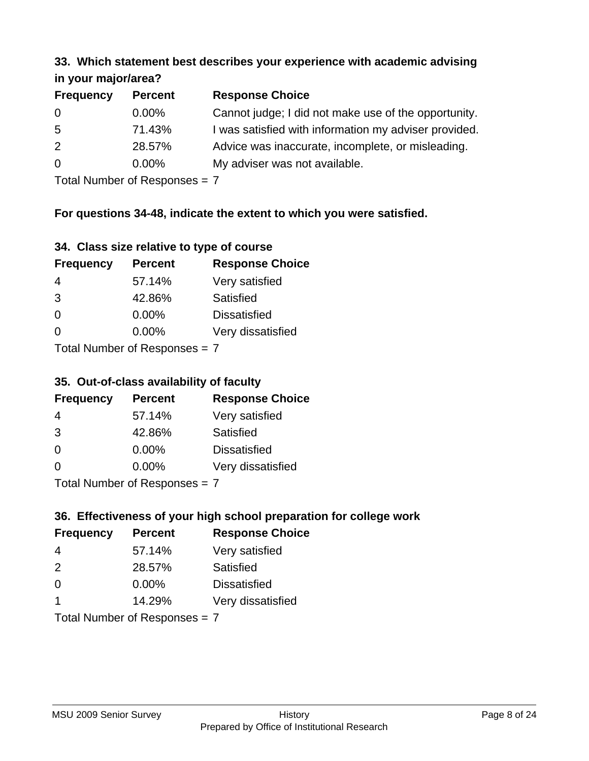#### **33. Which statement best describes your experience with academic advising in your major/area?**

| 111, 122, 111, 112, 121, 121, 131 |                |                                                       |
|-----------------------------------|----------------|-------------------------------------------------------|
| <b>Frequency</b>                  | <b>Percent</b> | <b>Response Choice</b>                                |
| 0                                 | $0.00\%$       | Cannot judge; I did not make use of the opportunity.  |
| $5\overline{)}$                   | 71.43%         | I was satisfied with information my adviser provided. |
| 2                                 | 28.57%         | Advice was inaccurate, incomplete, or misleading.     |
| $\overline{0}$                    | $0.00\%$       | My adviser was not available.                         |
|                                   |                |                                                       |

Total Number of Responses = 7

## **For questions 34-48, indicate the extent to which you were satisfied.**

| 34. Class size relative to type of course |  |  |  |  |  |  |  |  |
|-------------------------------------------|--|--|--|--|--|--|--|--|
|-------------------------------------------|--|--|--|--|--|--|--|--|

| <b>Frequency</b> | <b>Percent</b>                | <b>Response Choice</b> |
|------------------|-------------------------------|------------------------|
| 4                | 57.14%                        | Very satisfied         |
| 3                | 42.86%                        | Satisfied              |
| $\Omega$         | $0.00\%$                      | <b>Dissatisfied</b>    |
| $\Omega$         | $0.00\%$                      | Very dissatisfied      |
|                  | Total Number of Reconnege – 7 |                        |

I otal Number of Responses =  $7$ 

### **35. Out-of-class availability of faculty**

| <b>Frequency</b>           | <b>Percent</b> | <b>Response Choice</b> |
|----------------------------|----------------|------------------------|
| 4                          | 57.14%         | Very satisfied         |
| 3                          | 42.86%         | Satisfied              |
| $\Omega$                   | $0.00\%$       | <b>Dissatisfied</b>    |
| $\Omega$                   | $0.00\%$       | Very dissatisfied      |
| Total Number of Deepersoon |                |                        |

Total Number of Responses = 7

## **36. Effectiveness of your high school preparation for college work**

| <b>Frequency</b> | <b>Percent</b>                | <b>Response Choice</b> |
|------------------|-------------------------------|------------------------|
| 4                | 57.14%                        | Very satisfied         |
| $\mathcal{P}$    | 28.57%                        | Satisfied              |
| $\Omega$         | $0.00\%$                      | <b>Dissatisfied</b>    |
| -1               | 14.29%                        | Very dissatisfied      |
|                  | Total Number of Responses = 7 |                        |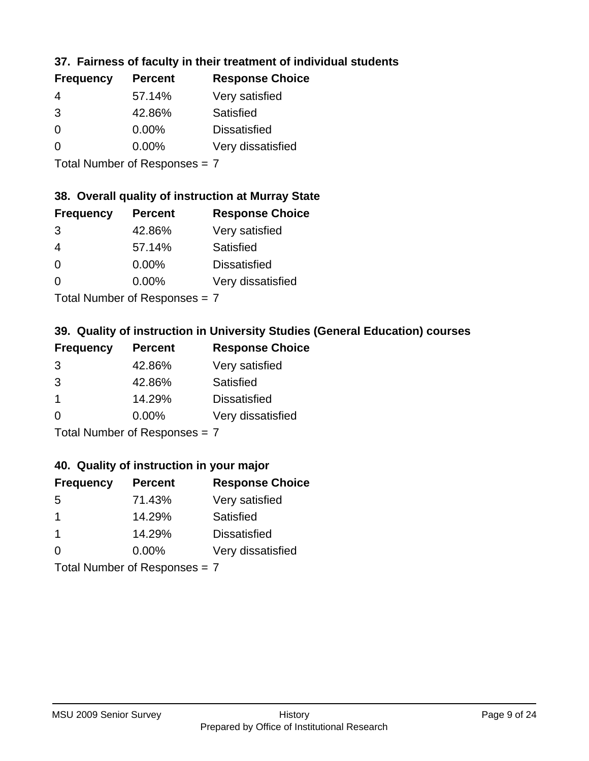### **37. Fairness of faculty in their treatment of individual students**

| <b>Frequency</b> | <b>Percent</b> | <b>Response Choice</b> |
|------------------|----------------|------------------------|
| 4                | 57.14%         | Very satisfied         |
| 3                | 42.86%         | Satisfied              |
| $\Omega$         | $0.00\%$       | <b>Dissatisfied</b>    |
| $\Omega$         | $0.00\%$       | Very dissatisfied      |
|                  |                |                        |

Total Number of Responses = 7

### **38. Overall quality of instruction at Murray State**

| <b>Frequency</b> | <b>Percent</b> | <b>Response Choice</b> |
|------------------|----------------|------------------------|
| 3                | 42.86%         | Very satisfied         |
| 4                | 57.14%         | Satisfied              |
| $\Omega$         | $0.00\%$       | <b>Dissatisfied</b>    |
| $\Omega$         | 0.00%          | Very dissatisfied      |
|                  |                |                        |

Total Number of Responses = 7

## **39. Quality of instruction in University Studies (General Education) courses**

| <b>Frequency</b> | <b>Percent</b>                                                                                                                                                                                                                 | <b>Response Choice</b> |
|------------------|--------------------------------------------------------------------------------------------------------------------------------------------------------------------------------------------------------------------------------|------------------------|
| 3                | 42.86%                                                                                                                                                                                                                         | Very satisfied         |
| 3                | 42.86%                                                                                                                                                                                                                         | Satisfied              |
| $\mathbf 1$      | 14.29%                                                                                                                                                                                                                         | <b>Dissatisfied</b>    |
| $\Omega$         | $0.00\%$                                                                                                                                                                                                                       | Very dissatisfied      |
|                  | The INDIAN Contract Contract Contract Contract Contract Contract Contract Contract Contract Contract Contract Contract Contract Contract Contract Contract Contract Contract Contract Contract Contract Contract Contract Cont |                        |

Total Number of Responses = 7

### **40. Quality of instruction in your major**

| <b>Frequency</b>                        | <b>Percent</b> | <b>Response Choice</b> |
|-----------------------------------------|----------------|------------------------|
| .5                                      | 71.43%         | Very satisfied         |
|                                         | 14.29%         | Satisfied              |
| -1                                      | 14.29%         | <b>Dissatisfied</b>    |
| ∩                                       | $0.00\%$       | Very dissatisfied      |
| $T$ at all Message and $D$ and a series |                |                        |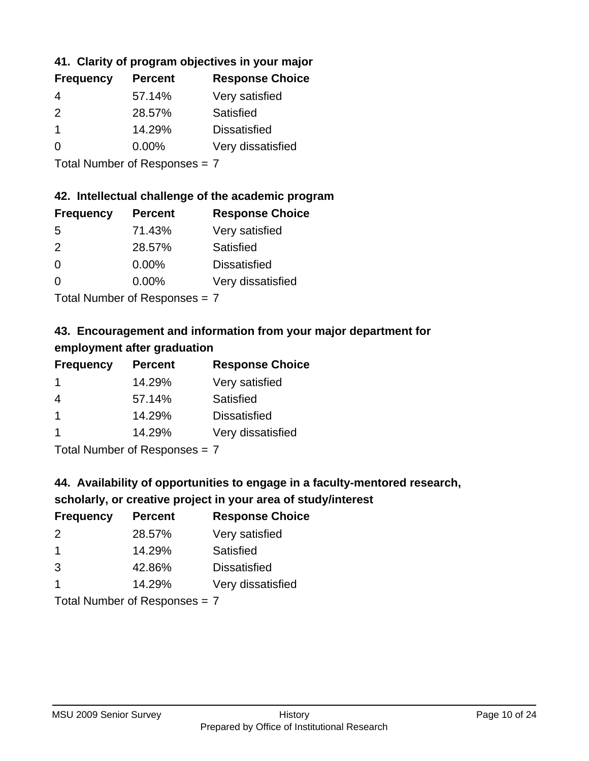## **41. Clarity of program objectives in your major**

| <b>Frequency</b> | <b>Percent</b> | <b>Response Choice</b> |
|------------------|----------------|------------------------|
| 4                | 57.14%         | Very satisfied         |
| $\mathcal{P}$    | 28.57%         | Satisfied              |
|                  | 14.29%         | <b>Dissatisfied</b>    |
| $\Omega$         | $0.00\%$       | Very dissatisfied      |
|                  |                |                        |

Total Number of Responses = 7

#### **42. Intellectual challenge of the academic program**

| <b>Frequency</b> | <b>Percent</b> | <b>Response Choice</b> |
|------------------|----------------|------------------------|
| .5               | 71.43%         | Very satisfied         |
| $\mathcal{P}$    | 28.57%         | Satisfied              |
| $\Omega$         | 0.00%          | <b>Dissatisfied</b>    |
| $\Omega$         | 0.00%          | Very dissatisfied      |
|                  |                |                        |

Total Number of Responses = 7

## **43. Encouragement and information from your major department for employment after graduation**

| <b>Frequency</b>     | <b>Percent</b> | <b>Response Choice</b> |
|----------------------|----------------|------------------------|
| -1                   | 14.29%         | Very satisfied         |
| 4                    | 57.14%         | Satisfied              |
| $\blacktriangleleft$ | 14.29%         | <b>Dissatisfied</b>    |
| -1                   | 14.29%         | Very dissatisfied      |
|                      |                |                        |

Total Number of Responses = 7

## **44. Availability of opportunities to engage in a faculty-mentored research,**

### **scholarly, or creative project in your area of study/interest**

| <b>Frequency</b> | <b>Percent</b> | <b>Response Choice</b> |
|------------------|----------------|------------------------|
| 2                | 28.57%         | Very satisfied         |
| -1               | 14.29%         | Satisfied              |
| 3                | 42.86%         | <b>Dissatisfied</b>    |
|                  | 14.29%         | Very dissatisfied      |
|                  |                |                        |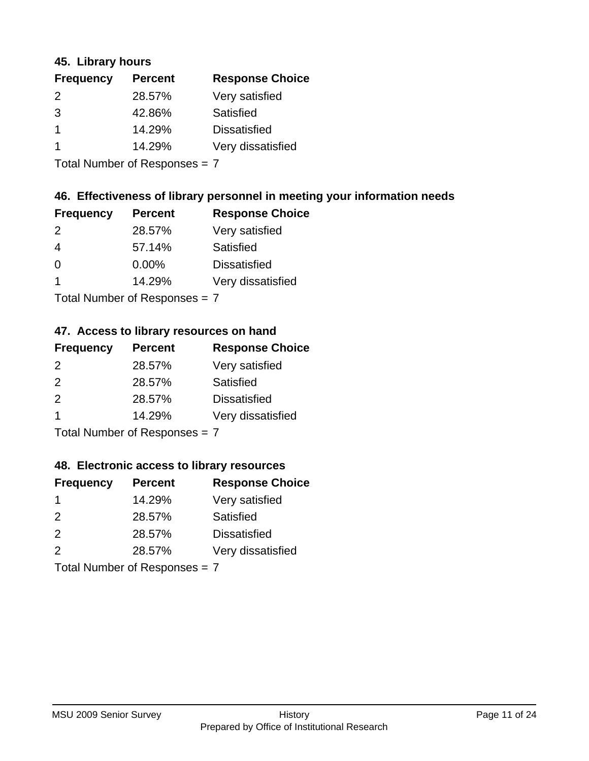### **45. Library hours**

| <b>Frequency</b> | <b>Percent</b> | <b>Response Choice</b> |
|------------------|----------------|------------------------|
| 2                | 28.57%         | Very satisfied         |
| 3                | 42.86%         | Satisfied              |
|                  | 14.29%         | <b>Dissatisfied</b>    |
|                  | 14.29%         | Very dissatisfied      |
|                  |                |                        |

Total Number of Responses = 7

### **46. Effectiveness of library personnel in meeting your information needs**

| <b>Frequency</b> | <b>Percent</b> | <b>Response Choice</b> |
|------------------|----------------|------------------------|
| 2                | 28.57%         | Very satisfied         |
| 4                | 57.14%         | Satisfied              |
| 0                | $0.00\%$       | <b>Dissatisfied</b>    |
|                  | 14.29%         | Very dissatisfied      |
|                  |                |                        |

Total Number of Responses = 7

## **47. Access to library resources on hand**

| <b>Frequency</b> | <b>Percent</b>                          | <b>Response Choice</b> |
|------------------|-----------------------------------------|------------------------|
| $\mathcal{P}$    | 28.57%                                  | Very satisfied         |
| $\mathcal{P}$    | 28.57%                                  | Satisfied              |
| 2                | 28.57%                                  | <b>Dissatisfied</b>    |
| -1               | 14.29%                                  | Very dissatisfied      |
|                  | $T$ at all Message and $D$ are a second |                        |

Total Number of Responses = 7

#### **48. Electronic access to library resources**

| <b>Frequency</b> | <b>Percent</b>            | <b>Response Choice</b> |
|------------------|---------------------------|------------------------|
|                  | 14.29%                    | Very satisfied         |
| $\mathcal{P}$    | 28.57%                    | Satisfied              |
| 2                | 28.57%                    | <b>Dissatisfied</b>    |
| $\mathcal{P}$    | 28.57%                    | Very dissatisfied      |
|                  | Total Number of Deepensee |                        |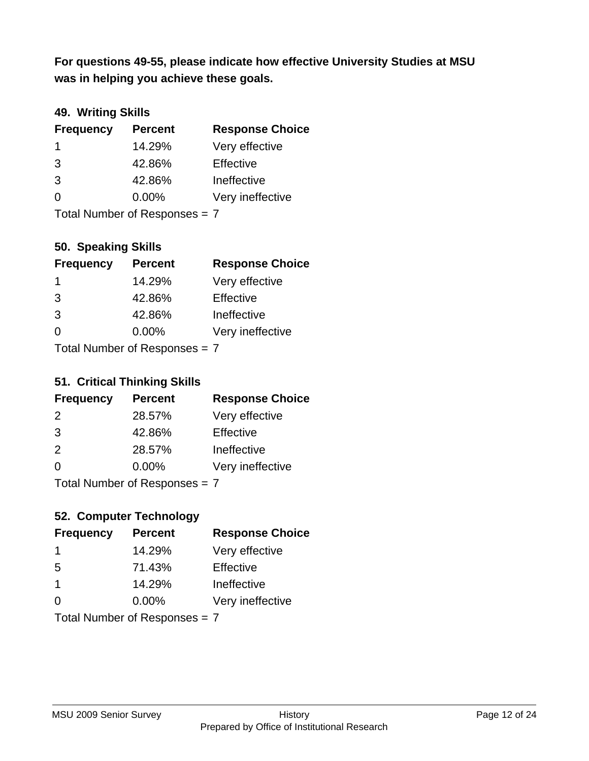**was in helping you achieve these goals. For questions 49-55, please indicate how effective University Studies at MSU** 

### **49. Writing Skills**

| <b>Frequency</b>              | <b>Percent</b> | <b>Response Choice</b> |
|-------------------------------|----------------|------------------------|
| $\mathbf 1$                   | 14.29%         | Very effective         |
| 3                             | 42.86%         | Effective              |
| 3                             | 42.86%         | Ineffective            |
| $\Omega$                      | $0.00\%$       | Very ineffective       |
| Total Number of Responses = 7 |                |                        |

## **50. Speaking Skills**

| <b>Frequency</b>                 | <b>Percent</b> | <b>Response Choice</b> |
|----------------------------------|----------------|------------------------|
| -1                               | 14.29%         | Very effective         |
| 3                                | 42.86%         | Effective              |
| 3                                | 42.86%         | Ineffective            |
| $\Omega$                         | 0.00%          | Very ineffective       |
| $Total Number of DoEROR 202 = 7$ |                |                        |

Total Number of Responses  $=$   $/$ 

### **51. Critical Thinking Skills**

| <b>Frequency</b> | <b>Percent</b>                                                                                                                                                                                                                 | <b>Response Choice</b> |
|------------------|--------------------------------------------------------------------------------------------------------------------------------------------------------------------------------------------------------------------------------|------------------------|
| 2                | 28.57%                                                                                                                                                                                                                         | Very effective         |
| 3                | 42.86%                                                                                                                                                                                                                         | Effective              |
| 2                | 28.57%                                                                                                                                                                                                                         | Ineffective            |
| $\Omega$         | 0.00%                                                                                                                                                                                                                          | Very ineffective       |
|                  | The INDIAN Contract Contract Contract Contract Contract Contract Contract Contract Contract Contract Contract Contract Contract Contract Contract Contract Contract Contract Contract Contract Contract Contract Contract Cont |                        |

Total Number of Responses = 7

## **52. Computer Technology**

| <b>Frequency</b>              | <b>Percent</b> | <b>Response Choice</b> |
|-------------------------------|----------------|------------------------|
| -1                            | 14.29%         | Very effective         |
| 5                             | 71.43%         | Effective              |
| $\mathbf 1$                   | 14.29%         | Ineffective            |
| $\Omega$                      | $0.00\%$       | Very ineffective       |
| Total Number of Responses = 7 |                |                        |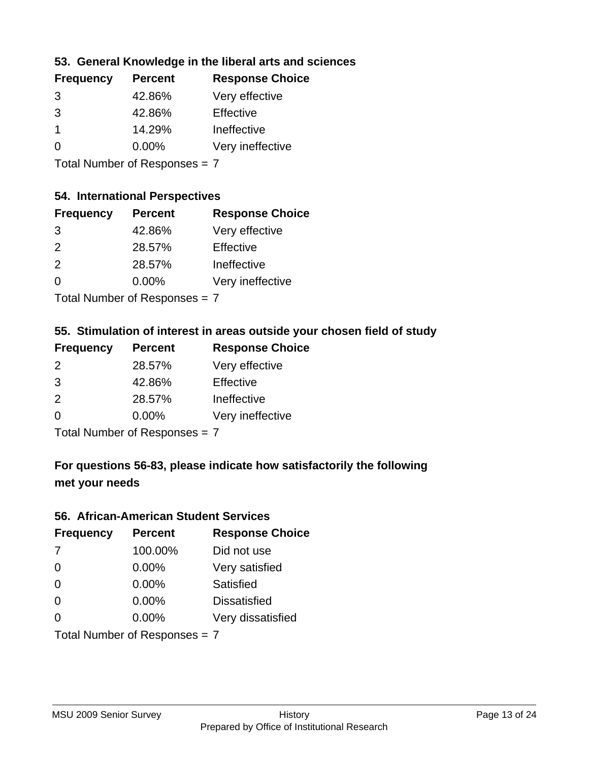### **53. General Knowledge in the liberal arts and sciences**

| <b>Frequency</b> | <b>Percent</b> | <b>Response Choice</b> |
|------------------|----------------|------------------------|
| 3                | 42.86%         | Very effective         |
| 3                | 42.86%         | Effective              |
|                  | 14.29%         | Ineffective            |
| $\Omega$         | $0.00\%$       | Very ineffective       |

Total Number of Responses = 7

#### **54. International Perspectives**

| <b>Frequency</b> | <b>Percent</b> | <b>Response Choice</b> |
|------------------|----------------|------------------------|
| 3                | 42.86%         | Very effective         |
| $\mathcal{P}$    | 28.57%         | Effective              |
| $\mathcal{P}$    | 28.57%         | Ineffective            |
| ∩                | 0.00%          | Very ineffective       |
|                  |                |                        |

Total Number of Responses = 7

## **55. Stimulation of interest in areas outside your chosen field of study**

| <b>Frequency</b> | <b>Percent</b>              | <b>Response Choice</b> |
|------------------|-----------------------------|------------------------|
| 2                | 28.57%                      | Very effective         |
| 3                | 42.86%                      | Effective              |
| 2                | 28.57%                      | Ineffective            |
| $\Omega$         | 0.00%                       | Very ineffective       |
|                  | Tatal Manualan af Dannannan |                        |

Total Number of Responses = 7

## **For questions 56-83, please indicate how satisfactorily the following met your needs**

#### **56. African-American Student Services**

| <b>Frequency</b> | <b>Percent</b>                | <b>Response Choice</b> |
|------------------|-------------------------------|------------------------|
| 7                | 100.00%                       | Did not use            |
| $\Omega$         | 0.00%                         | Very satisfied         |
| $\Omega$         | 0.00%                         | Satisfied              |
| $\Omega$         | 0.00%                         | <b>Dissatisfied</b>    |
| $\Omega$         | 0.00%                         | Very dissatisfied      |
|                  | Total Number of Responses = 7 |                        |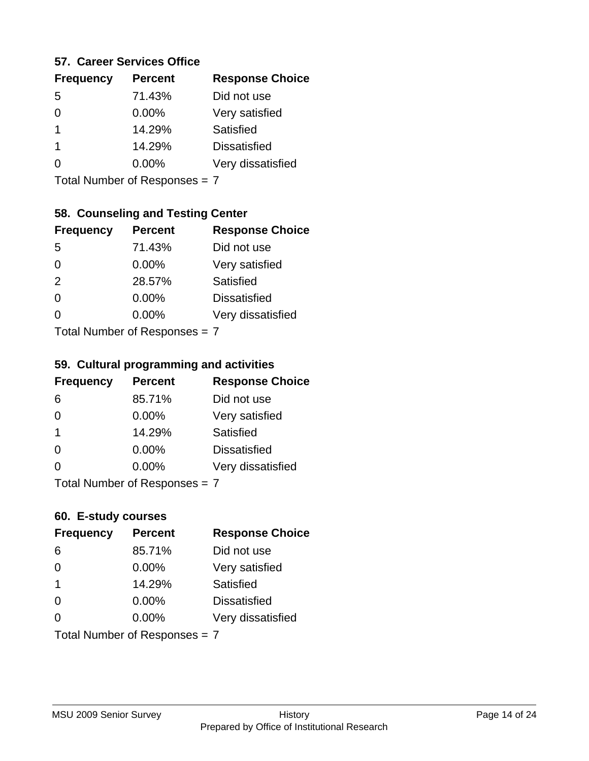#### **57. Career Services Office**

| <b>Frequency</b> | <b>Percent</b> | <b>Response Choice</b> |
|------------------|----------------|------------------------|
| 5                | 71.43%         | Did not use            |
| 0                | $0.00\%$       | Very satisfied         |
| 1                | 14.29%         | Satisfied              |
| 1                | 14.29%         | <b>Dissatisfied</b>    |
|                  | $0.00\%$       | Very dissatisfied      |
|                  |                |                        |

Total Number of Responses = 7

## **58. Counseling and Testing Center**

| <b>Frequency</b>              | <b>Percent</b> | <b>Response Choice</b> |
|-------------------------------|----------------|------------------------|
| -5                            | 71.43%         | Did not use            |
| $\Omega$                      | 0.00%          | Very satisfied         |
| 2                             | 28.57%         | Satisfied              |
| 0                             | 0.00%          | <b>Dissatisfied</b>    |
| 0                             | 0.00%          | Very dissatisfied      |
| $Total Number of Denonce = 7$ |                |                        |

Total Number of Responses = 7

#### **59. Cultural programming and activities**

| <b>Frequency</b> | <b>Percent</b>               | <b>Response Choice</b> |
|------------------|------------------------------|------------------------|
| 6                | 85.71%                       | Did not use            |
| $\Omega$         | $0.00\%$                     | Very satisfied         |
| -1               | 14.29%                       | Satisfied              |
| $\Omega$         | $0.00\%$                     | <b>Dissatisfied</b>    |
| $\Omega$         | $0.00\%$                     | Very dissatisfied      |
|                  | $Total Number of Denonone -$ |                        |

Total Number of Responses = 7

#### **60. E-study courses**

| <b>Frequency</b>        | <b>Percent</b>                | <b>Response Choice</b> |
|-------------------------|-------------------------------|------------------------|
| 6                       | 85.71%                        | Did not use            |
| $\Omega$                | 0.00%                         | Very satisfied         |
| $\overline{\mathbf{1}}$ | 14.29%                        | <b>Satisfied</b>       |
| $\Omega$                | 0.00%                         | <b>Dissatisfied</b>    |
| $\Omega$                | $0.00\%$                      | Very dissatisfied      |
|                         | Total Number of Responses = 7 |                        |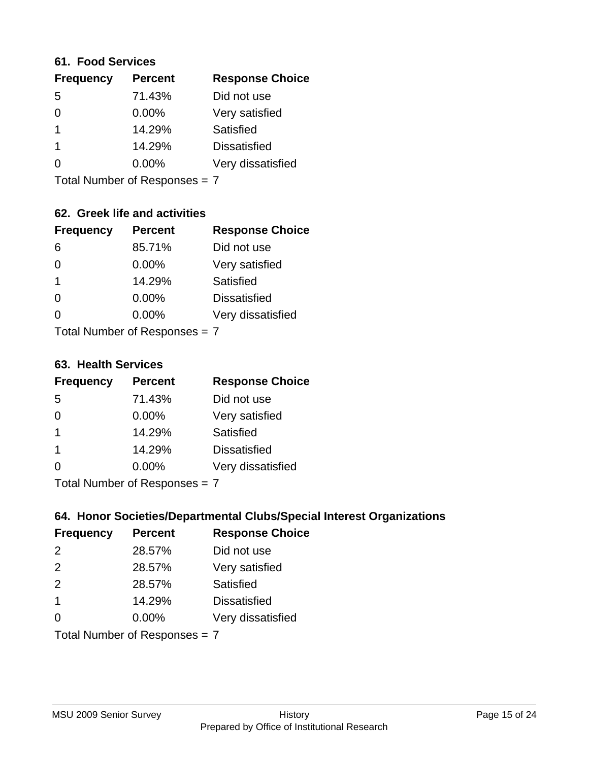#### **61. Food Services**

| <b>Frequency</b> | <b>Percent</b> | <b>Response Choice</b> |
|------------------|----------------|------------------------|
| 5                | 71.43%         | Did not use            |
| 0                | $0.00\%$       | Very satisfied         |
|                  | 14.29%         | Satisfied              |
|                  | 14.29%         | <b>Dissatisfied</b>    |
| O                | $0.00\%$       | Very dissatisfied      |
|                  |                |                        |

Total Number of Responses = 7

### **62. Greek life and activities**

| <b>Frequency</b>                | <b>Percent</b> | <b>Response Choice</b> |
|---------------------------------|----------------|------------------------|
| 6                               | 85.71%         | Did not use            |
| 0                               | 0.00%          | Very satisfied         |
| 1                               | 14.29%         | Satisfied              |
| $\Omega$                        | 0.00%          | <b>Dissatisfied</b>    |
|                                 | $0.00\%$       | Very dissatisfied      |
| Total Number of Responses = $7$ |                |                        |

#### **63. Health Services**

| <b>Frequency</b>            | <b>Percent</b> | <b>Response Choice</b> |
|-----------------------------|----------------|------------------------|
| 5                           | 71.43%         | Did not use            |
| $\Omega$                    | $0.00\%$       | Very satisfied         |
| -1                          | 14.29%         | <b>Satisfied</b>       |
| -1                          | 14.29%         | <b>Dissatisfied</b>    |
| $\Omega$                    | 0.00%          | Very dissatisfied      |
| Total Number of Despanses 7 |                |                        |

Total Number of Responses = 7

### **64. Honor Societies/Departmental Clubs/Special Interest Organizations**

| <b>Frequency</b>        | <b>Percent</b>                | <b>Response Choice</b> |
|-------------------------|-------------------------------|------------------------|
| 2                       | 28.57%                        | Did not use            |
| 2                       | 28.57%                        | Very satisfied         |
| 2                       | 28.57%                        | Satisfied              |
| $\overline{\mathbf{1}}$ | 14.29%                        | <b>Dissatisfied</b>    |
| $\Omega$                | 0.00%                         | Very dissatisfied      |
|                         | Total Number of Responses = 7 |                        |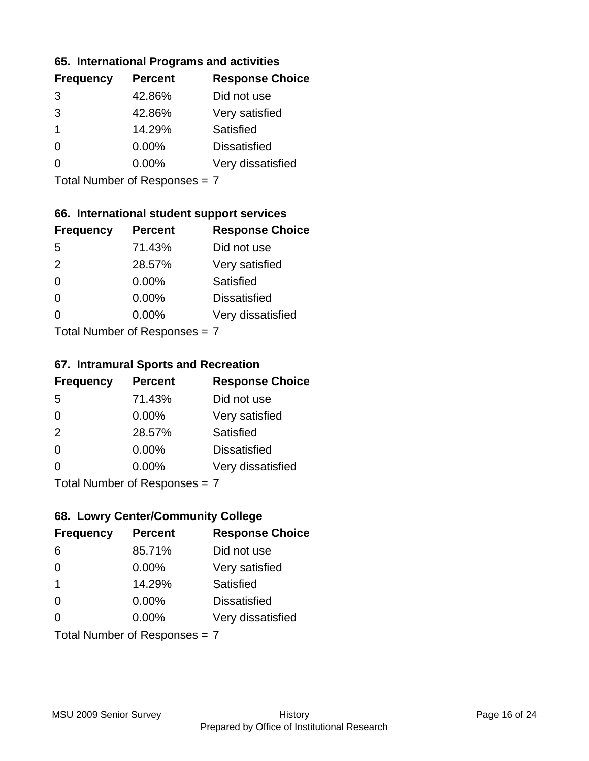### **65. International Programs and activities**

| <b>Frequency</b> | <b>Percent</b> | <b>Response Choice</b> |
|------------------|----------------|------------------------|
| 3                | 42.86%         | Did not use            |
| 3                | 42.86%         | Very satisfied         |
| 1                | 14.29%         | Satisfied              |
|                  | $0.00\%$       | <b>Dissatisfied</b>    |
|                  | $0.00\%$       | Very dissatisfied      |
|                  |                |                        |

Total Number of Responses = 7

### **66. International student support services**

| <b>Frequency</b>                | <b>Percent</b> | <b>Response Choice</b> |
|---------------------------------|----------------|------------------------|
| 5                               | 71.43%         | Did not use            |
| 2                               | 28.57%         | Very satisfied         |
| $\Omega$                        | $0.00\%$       | Satisfied              |
| $\Omega$                        | $0.00\%$       | <b>Dissatisfied</b>    |
| 0                               | 0.00%          | Very dissatisfied      |
| $Total Number of Doepopoog = 7$ |                |                        |

Total Number of Responses = 7

#### **67. Intramural Sports and Recreation**

| <b>Frequency</b>               | <b>Percent</b> | <b>Response Choice</b> |
|--------------------------------|----------------|------------------------|
| 5                              | 71.43%         | Did not use            |
| $\Omega$                       | $0.00\%$       | Very satisfied         |
| 2                              | 28.57%         | <b>Satisfied</b>       |
| $\Omega$                       | $0.00\%$       | <b>Dissatisfied</b>    |
| $\Omega$                       | $0.00\%$       | Very dissatisfied      |
| Total Number of Poenonces $-7$ |                |                        |

Total Number of Responses = 7

### **68. Lowry Center/Community College**

| <b>Frequency</b>              | <b>Percent</b> | <b>Response Choice</b> |
|-------------------------------|----------------|------------------------|
| 6                             | 85.71%         | Did not use            |
| $\Omega$                      | 0.00%          | Very satisfied         |
| -1                            | 14.29%         | Satisfied              |
| $\Omega$                      | 0.00%          | <b>Dissatisfied</b>    |
| ∩                             | $0.00\%$       | Very dissatisfied      |
| Total Number of Responses = 7 |                |                        |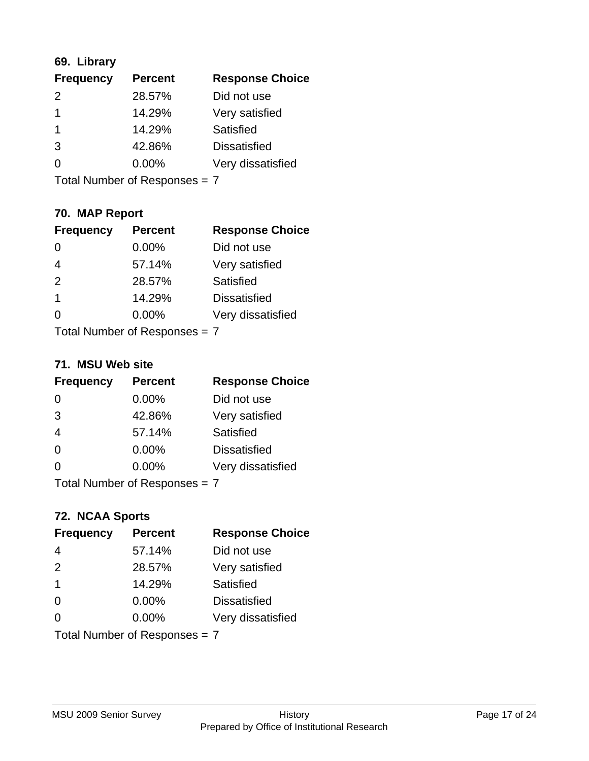## **69. Library**

| <b>Frequency</b> | <b>Percent</b> | <b>Response Choice</b> |
|------------------|----------------|------------------------|
| $\mathcal{P}$    | 28.57%         | Did not use            |
| 1                | 14.29%         | Very satisfied         |
| 1                | 14.29%         | Satisfied              |
| 3                | 42.86%         | <b>Dissatisfied</b>    |
| 0                | $0.00\%$       | Very dissatisfied      |
|                  |                |                        |

Total Number of Responses = 7

## **70. MAP Report**

| <b>Frequency</b>              | <b>Percent</b> | <b>Response Choice</b> |
|-------------------------------|----------------|------------------------|
|                               | 0.00%          | Did not use            |
| $\overline{4}$                | 57.14%         | Very satisfied         |
| 2                             | 28.57%         | Satisfied              |
| 1                             | 14.29%         | <b>Dissatisfied</b>    |
| O                             | $0.00\%$       | Very dissatisfied      |
| Total Number of Responses = 7 |                |                        |

#### **71. MSU Web site**

| <b>Frequency</b>              | <b>Percent</b> | <b>Response Choice</b> |
|-------------------------------|----------------|------------------------|
| $\Omega$                      | $0.00\%$       | Did not use            |
| 3                             | 42.86%         | Very satisfied         |
| $\overline{4}$                | 57.14%         | Satisfied              |
| $\Omega$                      | 0.00%          | <b>Dissatisfied</b>    |
| $\Omega$                      | 0.00%          | Very dissatisfied      |
| Total Number of Responses = 7 |                |                        |

## **72. NCAA Sports**

| <b>Frequency</b>              | <b>Percent</b> | <b>Response Choice</b> |
|-------------------------------|----------------|------------------------|
| $\overline{4}$                | 57.14%         | Did not use            |
| 2                             | 28.57%         | Very satisfied         |
| $\mathbf 1$                   | 14.29%         | <b>Satisfied</b>       |
| $\Omega$                      | $0.00\%$       | <b>Dissatisfied</b>    |
| $\Omega$                      | $0.00\%$       | Very dissatisfied      |
| Total Number of Responses = 7 |                |                        |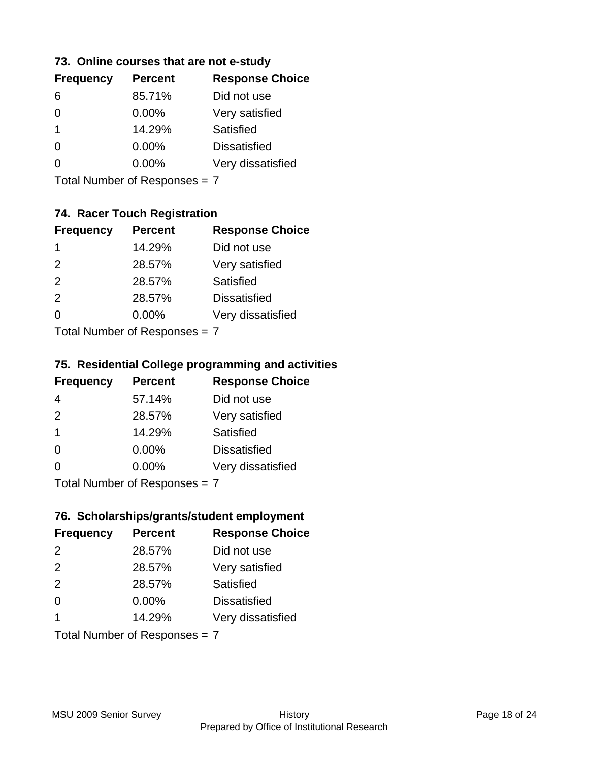### **73. Online courses that are not e-study**

| <b>Frequency</b> | <b>Percent</b> | <b>Response Choice</b> |
|------------------|----------------|------------------------|
| 6                | 85.71%         | Did not use            |
|                  | $0.00\%$       | Very satisfied         |
| 1                | 14.29%         | Satisfied              |
|                  | $0.00\%$       | <b>Dissatisfied</b>    |
|                  | $0.00\%$       | Very dissatisfied      |
|                  |                |                        |

Total Number of Responses = 7

## **74. Racer Touch Registration**

| <b>Frequency</b>            | <b>Percent</b> | <b>Response Choice</b> |
|-----------------------------|----------------|------------------------|
| -1                          | 14.29%         | Did not use            |
| $\mathcal{P}$               | 28.57%         | Very satisfied         |
| 2                           | 28.57%         | Satisfied              |
| 2                           | 28.57%         | <b>Dissatisfied</b>    |
| $\Omega$                    | 0.00%          | Very dissatisfied      |
| Total Number of Despanses 7 |                |                        |

Total Number of Responses = 7

### **75. Residential College programming and activities**

| <b>Frequency</b>         | <b>Percent</b> | <b>Response Choice</b> |
|--------------------------|----------------|------------------------|
| 4                        | 57.14%         | Did not use            |
| 2                        | 28.57%         | Very satisfied         |
| -1                       | 14.29%         | Satisfied              |
| $\Omega$                 | 0.00%          | <b>Dissatisfied</b>    |
| $\Omega$                 | 0.00%          | Very dissatisfied      |
| Total Number of DoEROR 2 |                |                        |

Total Number of Responses = 7

## **76. Scholarships/grants/student employment**

| <b>Frequency</b> | <b>Percent</b>                | <b>Response Choice</b> |
|------------------|-------------------------------|------------------------|
| 2                | 28.57%                        | Did not use            |
| 2                | 28.57%                        | Very satisfied         |
| 2                | 28.57%                        | Satisfied              |
| $\Omega$         | $0.00\%$                      | <b>Dissatisfied</b>    |
| -1               | 14.29%                        | Very dissatisfied      |
|                  | Total Number of Responses = 7 |                        |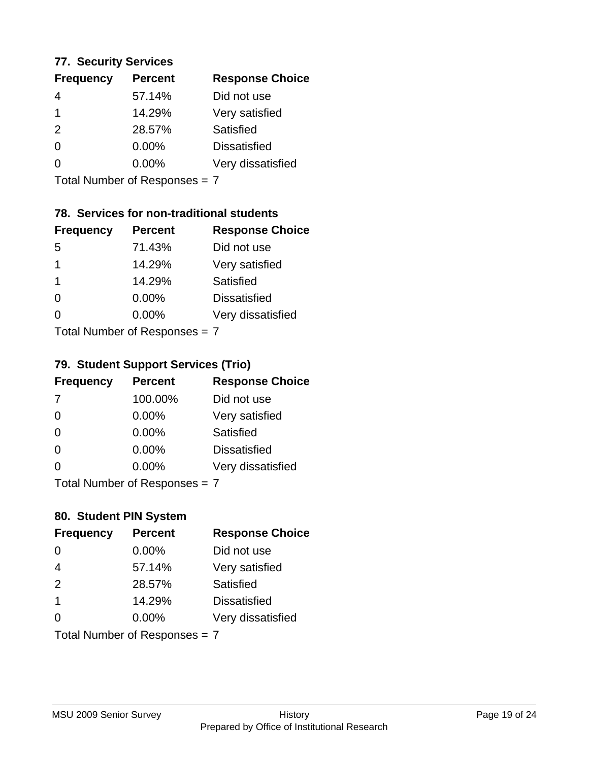### **77. Security Services**

| <b>Frequency</b> | <b>Percent</b> | <b>Response Choice</b> |
|------------------|----------------|------------------------|
| 4                | 57.14%         | Did not use            |
|                  | 14.29%         | Very satisfied         |
| $\mathcal{P}$    | 28.57%         | Satisfied              |
| 0                | 0.00%          | <b>Dissatisfied</b>    |
| O                | $0.00\%$       | Very dissatisfied      |
|                  |                |                        |

Total Number of Responses = 7

## **78. Services for non-traditional students**

| <b>Frequency</b>          | <b>Percent</b> | <b>Response Choice</b> |
|---------------------------|----------------|------------------------|
| -5                        | 71.43%         | Did not use            |
| 1                         | 14.29%         | Very satisfied         |
| -1                        | 14.29%         | Satisfied              |
| $\Omega$                  | $0.00\%$       | <b>Dissatisfied</b>    |
| ∩                         | 0.00%          | Very dissatisfied      |
| Total Number of Desponses |                |                        |

Total Number of Responses = 7

## **79. Student Support Services (Trio)**

| <b>Frequency</b>              | <b>Percent</b> | <b>Response Choice</b> |
|-------------------------------|----------------|------------------------|
| -7                            | 100.00%        | Did not use            |
| $\Omega$                      | $0.00\%$       | Very satisfied         |
| $\Omega$                      | $0.00\%$       | <b>Satisfied</b>       |
| $\Omega$                      | $0.00\%$       | <b>Dissatisfied</b>    |
| $\Omega$                      | $0.00\%$       | Very dissatisfied      |
| $Total Number of Denonce = 7$ |                |                        |

Total Number of Responses = 7

## **80. Student PIN System**

| <b>Frequency</b>        | <b>Percent</b>                | <b>Response Choice</b> |
|-------------------------|-------------------------------|------------------------|
| $\Omega$                | 0.00%                         | Did not use            |
| $\overline{4}$          | 57.14%                        | Very satisfied         |
| 2                       | 28.57%                        | <b>Satisfied</b>       |
| $\overline{\mathbf{1}}$ | 14.29%                        | <b>Dissatisfied</b>    |
| $\Omega$                | $0.00\%$                      | Very dissatisfied      |
|                         | Total Number of Responses = 7 |                        |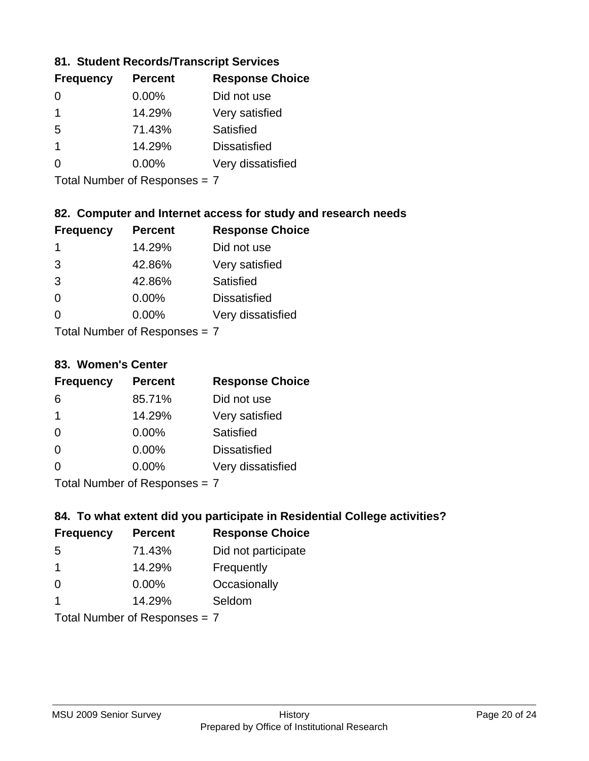### **81. Student Records/Transcript Services**

| <b>Frequency</b> | <b>Percent</b> | <b>Response Choice</b> |
|------------------|----------------|------------------------|
| 0                | 0.00%          | Did not use            |
| 1                | 14.29%         | Very satisfied         |
| 5                | 71.43%         | Satisfied              |
| 1                | 14.29%         | <b>Dissatisfied</b>    |
|                  | $0.00\%$       | Very dissatisfied      |

Total Number of Responses = 7

### **82. Computer and Internet access for study and research needs**

| <b>Frequency</b>                                        | <b>Percent</b> | <b>Response Choice</b> |
|---------------------------------------------------------|----------------|------------------------|
| 1                                                       | 14.29%         | Did not use            |
| 3                                                       | 42.86%         | Very satisfied         |
| 3                                                       | 42.86%         | Satisfied              |
| $\Omega$                                                | 0.00%          | <b>Dissatisfied</b>    |
| ∩                                                       | 0.00%          | Very dissatisfied      |
| $T$ at all Message and $R$ $\sim$ and $\sim$ and $\sim$ |                |                        |

Total Number of Responses = 7

#### **83. Women's Center**

| <b>Frequency</b> | <b>Percent</b> | <b>Response Choice</b> |
|------------------|----------------|------------------------|
| 6                | 85.71%         | Did not use            |
| 1                | 14.29%         | Very satisfied         |
| $\Omega$         | $0.00\%$       | <b>Satisfied</b>       |
| $\Omega$         | $0.00\%$       | <b>Dissatisfied</b>    |
| 0                | 0.00%          | Very dissatisfied      |
|                  |                |                        |

Total Number of Responses = 7

### **84. To what extent did you participate in Residential College activities?**

| <b>Frequency</b> | <b>Percent</b>                 | <b>Response Choice</b> |
|------------------|--------------------------------|------------------------|
| -5               | 71.43%                         | Did not participate    |
| 1                | 14.29%                         | Frequently             |
| $\Omega$         | 0.00%                          | Occasionally           |
| 1                | 14.29%                         | Seldom                 |
|                  | $Total Number of Denonone = 7$ |                        |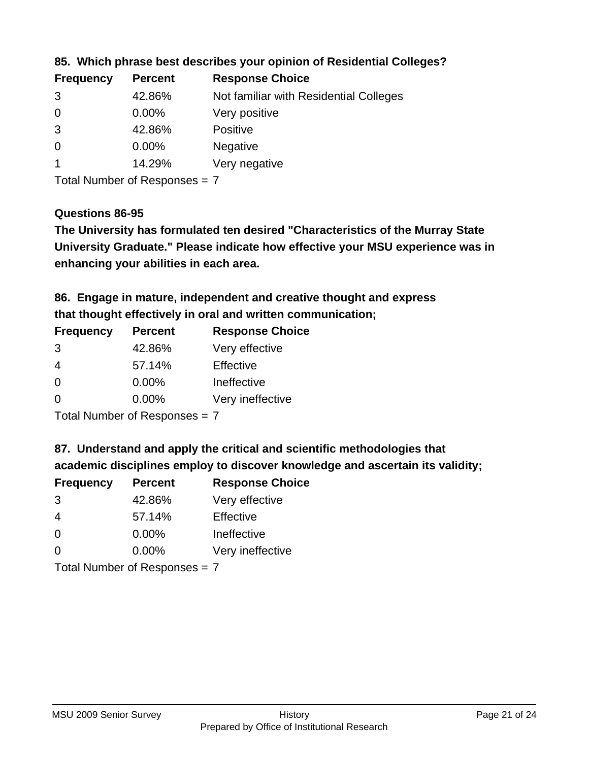| <b>Frequency</b> | <b>Percent</b> | <b>Response Choice</b>                 |
|------------------|----------------|----------------------------------------|
| 3                | 42.86%         | Not familiar with Residential Colleges |
| $\overline{0}$   | $0.00\%$       | Very positive                          |
| 3                | 42.86%         | <b>Positive</b>                        |
| $\overline{0}$   | $0.00\%$       | <b>Negative</b>                        |
|                  | 14.29%         | Very negative                          |

**85. Which phrase best describes your opinion of Residential Colleges?**

Total Number of Responses = 7

#### **Questions 86-95**

**University Graduate." Please indicate how effective your MSU experience was in The University has formulated ten desired "Characteristics of the Murray State enhancing your abilities in each area.**

**86. Engage in mature, independent and creative thought and express that thought effectively in oral and written communication;**

| <b>Frequency</b> | <b>Percent</b> | <b>Response Choice</b> |
|------------------|----------------|------------------------|
| 3                | 42.86%         | Very effective         |
| 4                | 57.14%         | Effective              |
| $\Omega$         | $0.00\%$       | Ineffective            |
| $\Omega$         | $0.00\%$       | Very ineffective       |

Total Number of Responses = 7

**87. Understand and apply the critical and scientific methodologies that** 

**academic disciplines employ to discover knowledge and ascertain its validity;**

| <b>Frequency</b> | <b>Percent</b> | <b>Response Choice</b> |
|------------------|----------------|------------------------|
| 3                | 42.86%         | Very effective         |
| 4                | 57.14%         | Effective              |
| $\Omega$         | 0.00%          | Ineffective            |
| ∩                | 0.00%          | Very ineffective       |
|                  |                |                        |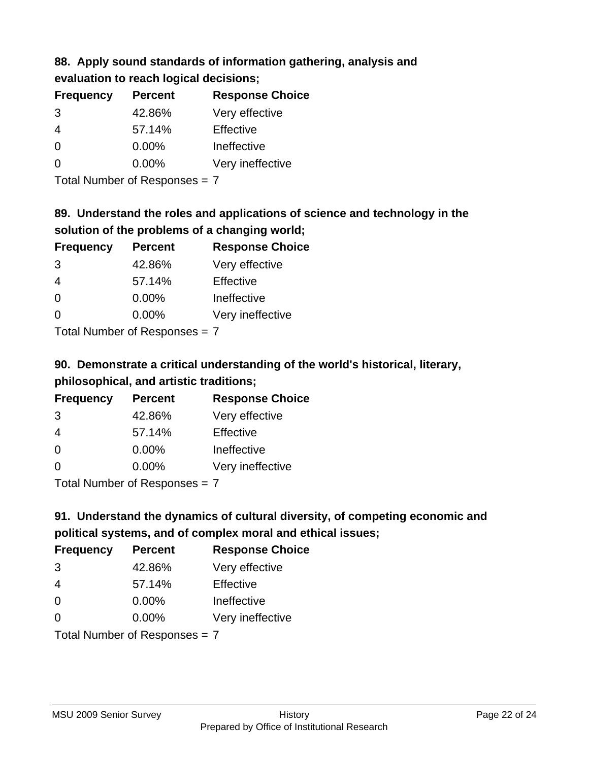## **88. Apply sound standards of information gathering, analysis and evaluation to reach logical decisions;**

| <b>Frequency</b> | <b>Percent</b> | <b>Response Choice</b> |
|------------------|----------------|------------------------|
| 3                | 42.86%         | Very effective         |
| 4                | 57.14%         | Effective              |
| ∩                | $0.00\%$       | Ineffective            |
| n                | $0.00\%$       | Very ineffective       |

Total Number of Responses = 7

## **89. Understand the roles and applications of science and technology in the solution of the problems of a changing world;**

| <b>Frequency</b> | <b>Percent</b> | <b>Response Choice</b> |
|------------------|----------------|------------------------|
| 3                | 42.86%         | Very effective         |
| $\overline{4}$   | 57.14%         | Effective              |
| $\Omega$         | 0.00%          | Ineffective            |
| $\Omega$         | 0.00%          | Very ineffective       |
|                  |                |                        |

Total Number of Responses = 7

# **90. Demonstrate a critical understanding of the world's historical, literary, philosophical, and artistic traditions;**

| <b>Frequency</b> | <b>Percent</b> | <b>Response Choice</b> |
|------------------|----------------|------------------------|
| 3                | 42.86%         | Very effective         |
| 4                | 57.14%         | Effective              |
| $\Omega$         | 0.00%          | Ineffective            |
| $\Omega$         | 0.00%          | Very ineffective       |
|                  |                |                        |

Total Number of Responses = 7

# **91. Understand the dynamics of cultural diversity, of competing economic and political systems, and of complex moral and ethical issues;**

| <b>Frequency</b>              | <b>Percent</b> | <b>Response Choice</b> |
|-------------------------------|----------------|------------------------|
| 3                             | 42.86%         | Very effective         |
| $\overline{4}$                | 57.14%         | Effective              |
| $\Omega$                      | 0.00%          | Ineffective            |
| $\Omega$                      | 0.00%          | Very ineffective       |
| Total Number of Responses = 7 |                |                        |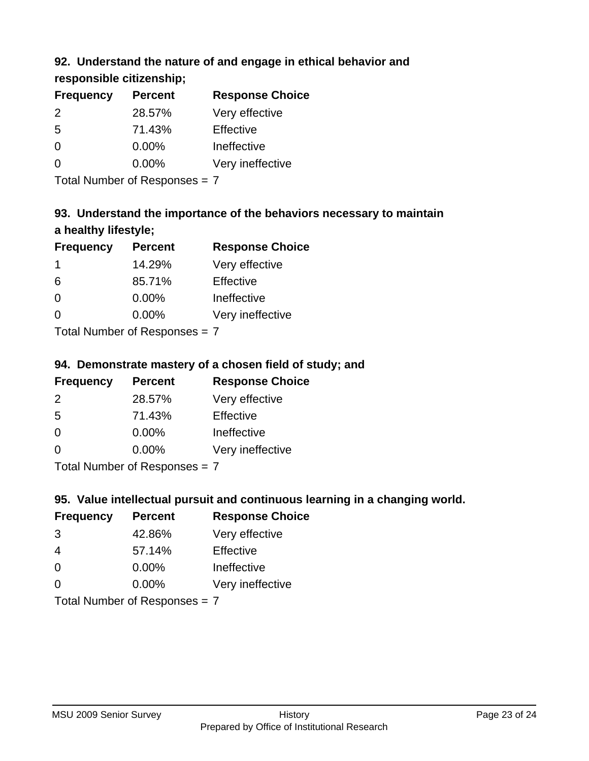## **92. Understand the nature of and engage in ethical behavior and**

**responsible citizenship;**

| <b>Frequency</b> | <b>Percent</b> | <b>Response Choice</b> |
|------------------|----------------|------------------------|
| $\mathcal{P}$    | 28.57%         | Very effective         |
| .5               | 71.43%         | Effective              |
| 0                | $0.00\%$       | Ineffective            |
| ∩                | $0.00\%$       | Very ineffective       |
|                  |                |                        |

Total Number of Responses = 7

# **93. Understand the importance of the behaviors necessary to maintain a healthy lifestyle;**

| <b>Frequency</b>            | <b>Percent</b> | <b>Response Choice</b> |
|-----------------------------|----------------|------------------------|
|                             | 14.29%         | Very effective         |
| 6                           | 85.71%         | Effective              |
| $\Omega$                    | 0.00%          | Ineffective            |
| $\Omega$                    | $0.00\%$       | Very ineffective       |
| Tatal Manuela and Dannanana |                |                        |

Total Number of Responses = 7

## **94. Demonstrate mastery of a chosen field of study; and**

| <b>Frequency</b> | <b>Percent</b> | <b>Response Choice</b> |
|------------------|----------------|------------------------|
| $\mathcal{P}$    | 28.57%         | Very effective         |
| .5               | 71.43%         | Effective              |
| 0                | $0.00\%$       | Ineffective            |
| ∩                | $0.00\%$       | Very ineffective       |
|                  |                |                        |

Total Number of Responses = 7

## **95. Value intellectual pursuit and continuous learning in a changing world.**

| <b>Frequency</b> | <b>Percent</b>                                                                                                          | <b>Response Choice</b> |
|------------------|-------------------------------------------------------------------------------------------------------------------------|------------------------|
| 3                | 42.86%                                                                                                                  | Very effective         |
| 4                | 57.14%                                                                                                                  | Effective              |
| $\Omega$         | 0.00%                                                                                                                   | Ineffective            |
| $\Omega$         | 0.00%                                                                                                                   | Very ineffective       |
|                  | $\tau$ . $\tau$ . In the set of $\tau$ , $\tau$ , $\tau$ , $\tau$ , $\tau$ , $\tau$ , $\tau$ , $\tau$ , $\tau$ , $\tau$ |                        |